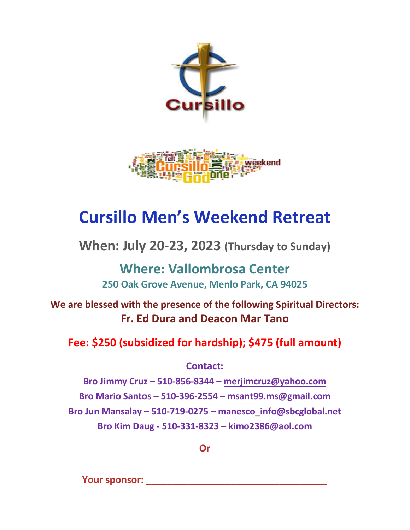



## **Cursillo Men's Weekend Retreat**

**When: July 20-23, 2023 (Thursday to Sunday)**

**Where: Vallombrosa Center 250 Oak Grove Avenue, Menlo Park, CA 94025**

**We are blessed with the presence of the following Spiritual Directors: Fr. Ed Dura and Deacon Mar Tano**

## **Fee: \$250 (subsidized for hardship); \$475 (full amount)**

**Contact:** 

**Bro Jimmy Cruz – 510-856-8344 – merjimcruz@yahoo.com Bro Mario Santos – 510-396-2554 – msant99.ms@gmail.com Bro Jun Mansalay – 510-719-0275 – manesco\_info@sbcglobal.net Bro Kim Daug - 510-331-8323 – kimo2386@aol.com**

**Or**

**Your sponsor: \_\_\_\_\_\_\_\_\_\_\_\_\_\_\_\_\_\_\_\_\_\_\_\_\_\_\_\_\_\_\_\_\_\_**